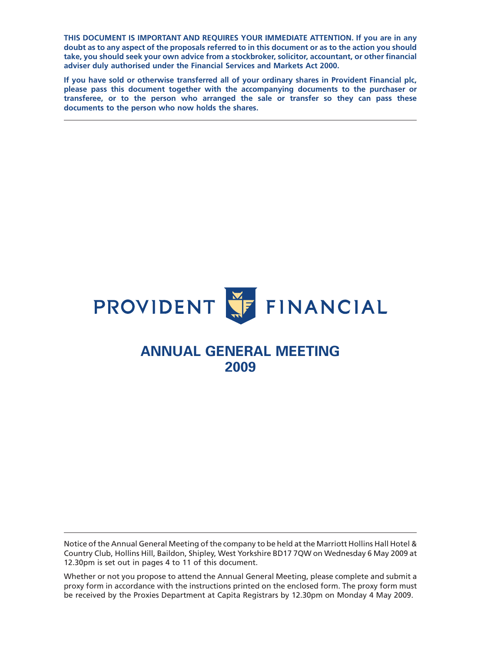**THIS DOCUMENT IS IMPORTANT AND REQUIRES YOUR IMMEDIATE ATTENTION. If you are in any doubt as to any aspect of the proposals referred to in this document or as to the action you should take, you should seek your own advice from a stockbroker, solicitor, accountant, or other financial adviser duly authorised under the Financial Services and Markets Act 2000.**

**If you have sold or otherwise transferred all of your ordinary shares in Provident Financial plc, please pass this document together with the accompanying documents to the purchaser or transferee, or to the person who arranged the sale or transfer so they can pass these documents to the person who now holds the shares.**



# **ANNUAL GENERAL MEETING 2009**

Notice of the Annual General Meeting of the company to be held at the Marriott Hollins Hall Hotel & Country Club, Hollins Hill, Baildon, Shipley, West Yorkshire BD17 7QW on Wednesday 6 May 2009 at 12.30pm is set out in pages 4 to 11 of this document.

Whether or not you propose to attend the Annual General Meeting, please complete and submit a proxy form in accordance with the instructions printed on the enclosed form. The proxy form must be received by the Proxies Department at Capita Registrars by 12.30pm on Monday 4 May 2009.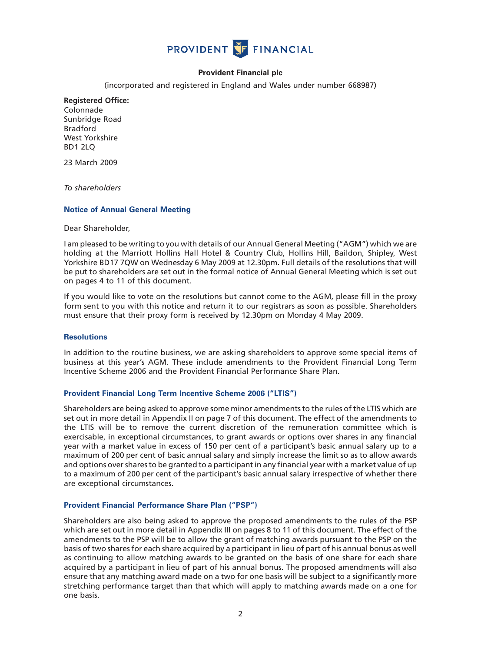

# **Provident Financial plc**

(incorporated and registered in England and Wales under number 668987)

# **Registered Office:**

Colonnade Sunbridge Road Bradford West Yorkshire BD1 2LQ

23 March 2009

*To shareholders*

## **Notice of Annual General Meeting**

Dear Shareholder,

I am pleased to be writing to you with details of our Annual General Meeting ("AGM") which we are holding at the Marriott Hollins Hall Hotel & Country Club, Hollins Hill, Baildon, Shipley, West Yorkshire BD17 7QW on Wednesday 6 May 2009 at 12.30pm. Full details of the resolutions that will be put to shareholders are set out in the formal notice of Annual General Meeting which is set out on pages 4 to 11 of this document.

If you would like to vote on the resolutions but cannot come to the AGM, please fill in the proxy form sent to you with this notice and return it to our registrars as soon as possible. Shareholders must ensure that their proxy form is received by 12.30pm on Monday 4 May 2009.

#### **Resolutions**

In addition to the routine business, we are asking shareholders to approve some special items of business at this year's AGM. These include amendments to the Provident Financial Long Term Incentive Scheme 2006 and the Provident Financial Performance Share Plan.

#### **Provident Financial Long Term Incentive Scheme 2006 ("LTIS")**

Shareholders are being asked to approve some minor amendments to the rules of the LTIS which are set out in more detail in Appendix II on page 7 of this document. The effect of the amendments to the LTIS will be to remove the current discretion of the remuneration committee which is exercisable, in exceptional circumstances, to grant awards or options over shares in any financial year with a market value in excess of 150 per cent of a participant's basic annual salary up to a maximum of 200 per cent of basic annual salary and simply increase the limit so as to allow awards and options over shares to be granted to a participant in any financial year with a market value of up to a maximum of 200 per cent of the participant's basic annual salary irrespective of whether there are exceptional circumstances.

#### **Provident Financial Performance Share Plan ("PSP")**

Shareholders are also being asked to approve the proposed amendments to the rules of the PSP which are set out in more detail in Appendix III on pages 8 to 11 of this document. The effect of the amendments to the PSP will be to allow the grant of matching awards pursuant to the PSP on the basis of two shares for each share acquired by a participant in lieu of part of his annual bonus as well as continuing to allow matching awards to be granted on the basis of one share for each share acquired by a participant in lieu of part of his annual bonus. The proposed amendments will also ensure that any matching award made on a two for one basis will be subject to a significantly more stretching performance target than that which will apply to matching awards made on a one for one basis.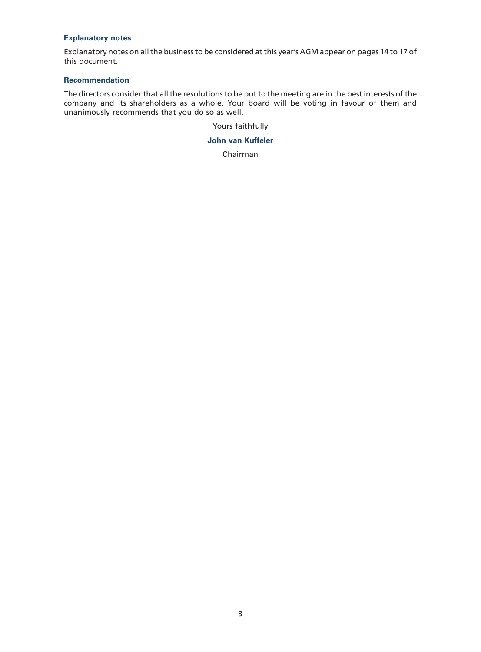## **Explanatory notes**

Explanatory notes on all the business to be considered at this year's AGM appear on pages 14 to 17 of this document.

## **Recommendation**

The directors consider that all the resolutions to be put to the meeting are in the best interests of the company and its shareholders as a whole. Your board will be voting in favour of them and unanimously recommends that you do so as well.

Yours faithfully

**John van Kuffeler**

Chairman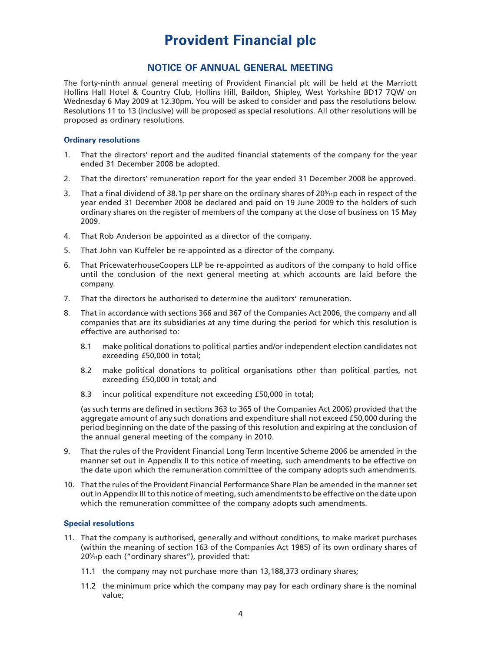# **Provident Financial plc**

# **NOTICE OF ANNUAL GENERAL MEETING**

The forty-ninth annual general meeting of Provident Financial plc will be held at the Marriott Hollins Hall Hotel & Country Club, Hollins Hill, Baildon, Shipley, West Yorkshire BD17 7QW on Wednesday 6 May 2009 at 12.30pm. You will be asked to consider and pass the resolutions below. Resolutions 11 to 13 (inclusive) will be proposed as special resolutions. All other resolutions will be proposed as ordinary resolutions.

#### **Ordinary resolutions**

- 1. That the directors' report and the audited financial statements of the company for the year ended 31 December 2008 be adopted.
- 2. That the directors' remuneration report for the year ended 31 December 2008 be approved.
- 3. That a final dividend of 38.1p per share on the ordinary shares of 20 $\frac{8}{11}$ p each in respect of the year ended 31 December 2008 be declared and paid on 19 June 2009 to the holders of such ordinary shares on the register of members of the company at the close of business on 15 May 2009.
- 4. That Rob Anderson be appointed as a director of the company.
- 5. That John van Kuffeler be re-appointed as a director of the company.
- 6. That PricewaterhouseCoopers LLP be re-appointed as auditors of the company to hold office until the conclusion of the next general meeting at which accounts are laid before the company.
- 7. That the directors be authorised to determine the auditors' remuneration.
- 8. That in accordance with sections 366 and 367 of the Companies Act 2006, the company and all companies that are its subsidiaries at any time during the period for which this resolution is effective are authorised to:
	- 8.1 make political donations to political parties and/or independent election candidates not exceeding £50,000 in total;
	- 8.2 make political donations to political organisations other than political parties, not exceeding £50,000 in total; and
	- 8.3 incur political expenditure not exceeding £50,000 in total;

(as such terms are defined in sections 363 to 365 of the Companies Act 2006) provided that the aggregate amount of any such donations and expenditure shall not exceed £50,000 during the period beginning on the date of the passing of this resolution and expiring at the conclusion of the annual general meeting of the company in 2010.

- 9. That the rules of the Provident Financial Long Term Incentive Scheme 2006 be amended in the manner set out in Appendix II to this notice of meeting, such amendments to be effective on the date upon which the remuneration committee of the company adopts such amendments.
- 10. That the rules of the Provident Financial Performance Share Plan be amended in the manner set out in Appendix III to this notice of meeting, such amendments to be effective on the date upon which the remuneration committee of the company adopts such amendments.

## **Special resolutions**

- 11. That the company is authorised, generally and without conditions, to make market purchases (within the meaning of section 163 of the Companies Act 1985) of its own ordinary shares of 208 ⁄11p each ("ordinary shares"), provided that:
	- 11.1 the company may not purchase more than 13,188,373 ordinary shares;
	- 11.2 the minimum price which the company may pay for each ordinary share is the nominal value;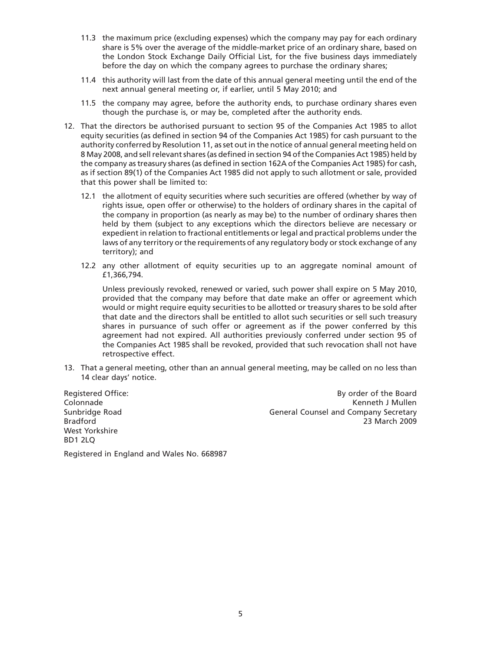- 11.3 the maximum price (excluding expenses) which the company may pay for each ordinary share is 5% over the average of the middle-market price of an ordinary share, based on the London Stock Exchange Daily Official List, for the five business days immediately before the day on which the company agrees to purchase the ordinary shares;
- 11.4 this authority will last from the date of this annual general meeting until the end of the next annual general meeting or, if earlier, until 5 May 2010; and
- 11.5 the company may agree, before the authority ends, to purchase ordinary shares even though the purchase is, or may be, completed after the authority ends.
- 12. That the directors be authorised pursuant to section 95 of the Companies Act 1985 to allot equity securities (as defined in section 94 of the Companies Act 1985) for cash pursuant to the authority conferred by Resolution 11, as set out in the notice of annual general meeting held on 8 May 2008, and sell relevant shares (as defined in section 94 of the Companies Act 1985) held by the company as treasury shares (as defined in section 162A of the Companies Act 1985) for cash, as if section 89(1) of the Companies Act 1985 did not apply to such allotment or sale, provided that this power shall be limited to:
	- 12.1 the allotment of equity securities where such securities are offered (whether by way of rights issue, open offer or otherwise) to the holders of ordinary shares in the capital of the company in proportion (as nearly as may be) to the number of ordinary shares then held by them (subject to any exceptions which the directors believe are necessary or expedient in relation to fractional entitlements or legal and practical problems under the laws of any territory or the requirements of any regulatory body or stock exchange of any territory); and
	- 12.2 any other allotment of equity securities up to an aggregate nominal amount of £1,366,794.

Unless previously revoked, renewed or varied, such power shall expire on 5 May 2010, provided that the company may before that date make an offer or agreement which would or might require equity securities to be allotted or treasury shares to be sold after that date and the directors shall be entitled to allot such securities or sell such treasury shares in pursuance of such offer or agreement as if the power conferred by this agreement had not expired. All authorities previously conferred under section 95 of the Companies Act 1985 shall be revoked, provided that such revocation shall not have retrospective effect.

13. That a general meeting, other than an annual general meeting, may be called on no less than 14 clear days' notice.

Registered Office: Colonnade Sunbridge Road Bradford West Yorkshire BD1 2LQ

By order of the Board Kenneth J Mullen General Counsel and Company Secretary 23 March 2009

Registered in England and Wales No. 668987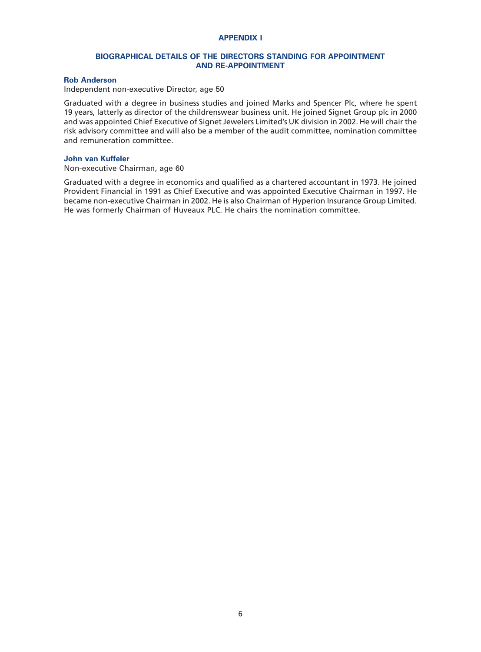## **APPENDIX I**

## **BIOGRAPHICAL DETAILS OF THE DIRECTORS STANDING FOR APPOINTMENT AND RE-APPOINTMENT**

## **Rob Anderson**

Independent non-executive Director, age 50

Graduated with a degree in business studies and joined Marks and Spencer Plc, where he spent 19 years, latterly as director of the childrenswear business unit. He joined Signet Group plc in 2000 and was appointed Chief Executive of Signet Jewelers Limited's UK division in 2002. He will chair the risk advisory committee and will also be a member of the audit committee, nomination committee and remuneration committee.

#### **John van Kuffeler**

Non-executive Chairman, age 60

Graduated with a degree in economics and qualified as a chartered accountant in 1973. He joined Provident Financial in 1991 as Chief Executive and was appointed Executive Chairman in 1997. He became non-executive Chairman in 2002. He is also Chairman of Hyperion Insurance Group Limited. He was formerly Chairman of Huveaux PLC. He chairs the nomination committee.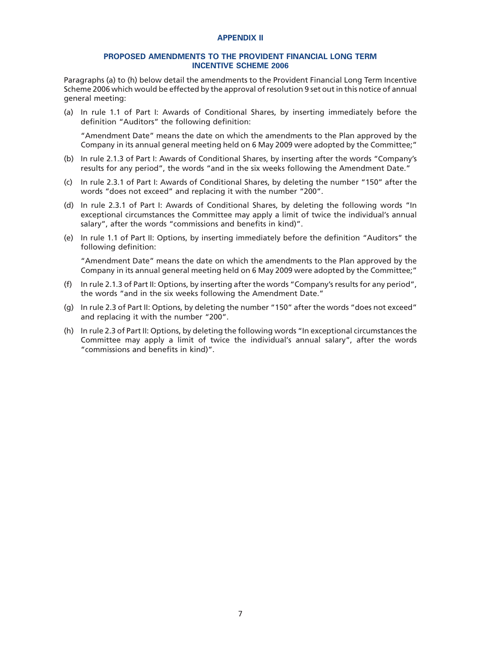#### **APPENDIX II**

#### **PROPOSED AMENDMENTS TO THE PROVIDENT FINANCIAL LONG TERM INCENTIVE SCHEME 2006**

Paragraphs (a) to (h) below detail the amendments to the Provident Financial Long Term Incentive Scheme 2006 which would be effected by the approval of resolution 9 set out in this notice of annual general meeting:

(a) In rule 1.1 of Part I: Awards of Conditional Shares, by inserting immediately before the definition "Auditors" the following definition:

"Amendment Date" means the date on which the amendments to the Plan approved by the Company in its annual general meeting held on 6 May 2009 were adopted by the Committee;"

- (b) In rule 2.1.3 of Part I: Awards of Conditional Shares, by inserting after the words "Company's results for any period", the words "and in the six weeks following the Amendment Date."
- (c) In rule 2.3.1 of Part I: Awards of Conditional Shares, by deleting the number "150" after the words "does not exceed" and replacing it with the number "200".
- (d) In rule 2.3.1 of Part I: Awards of Conditional Shares, by deleting the following words "In exceptional circumstances the Committee may apply a limit of twice the individual's annual salary", after the words "commissions and benefits in kind)".
- (e) In rule 1.1 of Part II: Options, by inserting immediately before the definition "Auditors" the following definition:

"Amendment Date" means the date on which the amendments to the Plan approved by the Company in its annual general meeting held on 6 May 2009 were adopted by the Committee;"

- (f) In rule 2.1.3 of Part II: Options, by inserting after the words "Company's results for any period", the words "and in the six weeks following the Amendment Date."
- (g) In rule 2.3 of Part II: Options, by deleting the number "150" after the words "does not exceed" and replacing it with the number "200".
- (h) In rule 2.3 of Part II: Options, by deleting the following words "In exceptional circumstances the Committee may apply a limit of twice the individual's annual salary", after the words "commissions and benefits in kind)".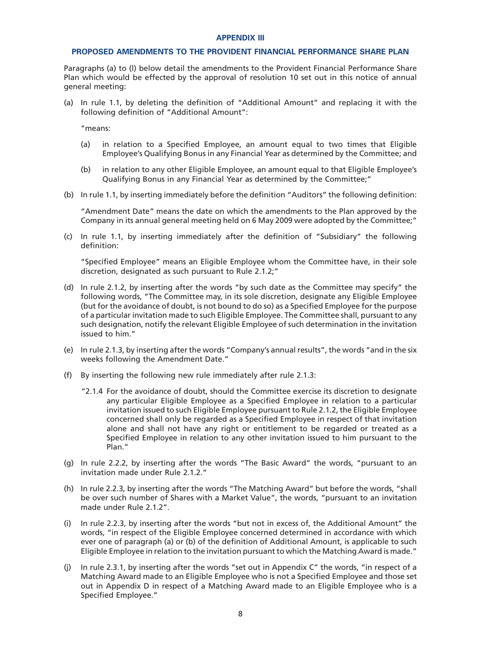#### **APPENDIX III**

#### **PROPOSED AMENDMENTS TO THE PROVIDENT FINANCIAL PERFORMANCE SHARE PLAN**

Paragraphs (a) to (l) below detail the amendments to the Provident Financial Performance Share Plan which would be effected by the approval of resolution 10 set out in this notice of annual general meeting:

(a) In rule 1.1, by deleting the definition of "Additional Amount" and replacing it with the following definition of "Additional Amount":

"means:

- (a) in relation to a Specified Employee, an amount equal to two times that Eligible Employee's Qualifying Bonus in any Financial Year as determined by the Committee; and
- (b) in relation to any other Eligible Employee, an amount equal to that Eligible Employee's Qualifying Bonus in any Financial Year as determined by the Committee;"
- (b) In rule 1.1, by inserting immediately before the definition "Auditors" the following definition:

"Amendment Date" means the date on which the amendments to the Plan approved by the Company in its annual general meeting held on 6 May 2009 were adopted by the Committee;"

(c) In rule 1.1, by inserting immediately after the definition of "Subsidiary" the following definition:

"Specified Employee" means an Eligible Employee whom the Committee have, in their sole discretion, designated as such pursuant to Rule 2.1.2;"

- (d) In rule 2.1.2, by inserting after the words "by such date as the Committee may specify" the following words, "The Committee may, in its sole discretion, designate any Eligible Employee (but for the avoidance of doubt, is not bound to do so) as a Specified Employee for the purpose of a particular invitation made to such Eligible Employee. The Committee shall, pursuant to any such designation, notify the relevant Eligible Employee of such determination in the invitation issued to him."
- (e) In rule 2.1.3, by inserting after the words "Company's annual results", the words "and in the six weeks following the Amendment Date."
- (f) By inserting the following new rule immediately after rule 2.1.3:
	- "2.1.4 For the avoidance of doubt, should the Committee exercise its discretion to designate any particular Eligible Employee as a Specified Employee in relation to a particular invitation issued to such Eligible Employee pursuant to Rule 2.1.2, the Eligible Employee concerned shall only be regarded as a Specified Employee in respect of that invitation alone and shall not have any right or entitlement to be regarded or treated as a Specified Employee in relation to any other invitation issued to him pursuant to the Plan."
- (g) In rule 2.2.2, by inserting after the words "The Basic Award" the words, "pursuant to an invitation made under Rule 2.1.2."
- (h) In rule 2.2.3, by inserting after the words "The Matching Award" but before the words, "shall be over such number of Shares with a Market Value", the words, "pursuant to an invitation made under Rule 2.1.2"
- (i) In rule 2.2.3, by inserting after the words "but not in excess of, the Additional Amount" the words, "in respect of the Eligible Employee concerned determined in accordance with which ever one of paragraph (a) or (b) of the definition of Additional Amount, is applicable to such Eligible Employee in relation to the invitation pursuant to which the Matching Award is made."
- (j) In rule 2.3.1, by inserting after the words "set out in Appendix C" the words, "in respect of a Matching Award made to an Eligible Employee who is not a Specified Employee and those set out in Appendix D in respect of a Matching Award made to an Eligible Employee who is a Specified Employee."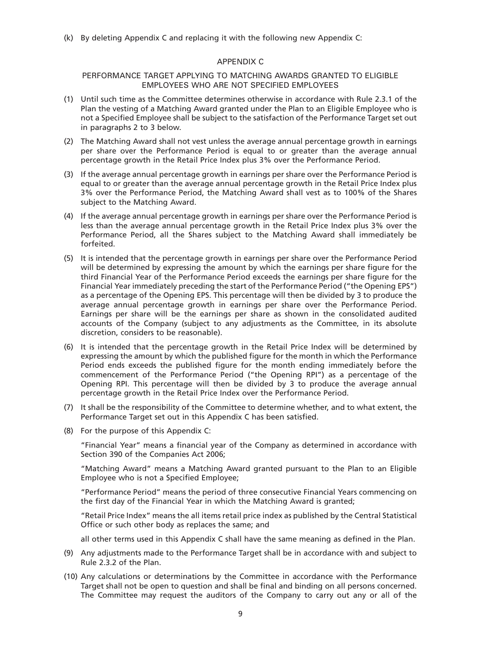(k) By deleting Appendix C and replacing it with the following new Appendix C:

#### APPENDIX C

## PERFORMANCE TARGET APPLYING TO MATCHING AWARDS GRANTED TO ELIGIBLE EMPLOYEES WHO ARE NOT SPECIFIED EMPLOYEES

- (1) Until such time as the Committee determines otherwise in accordance with Rule 2.3.1 of the Plan the vesting of a Matching Award granted under the Plan to an Eligible Employee who is not a Specified Employee shall be subject to the satisfaction of the Performance Target set out in paragraphs 2 to 3 below.
- (2) The Matching Award shall not vest unless the average annual percentage growth in earnings per share over the Performance Period is equal to or greater than the average annual percentage growth in the Retail Price Index plus 3% over the Performance Period.
- (3) If the average annual percentage growth in earnings per share over the Performance Period is equal to or greater than the average annual percentage growth in the Retail Price Index plus 3% over the Performance Period, the Matching Award shall vest as to 100% of the Shares subject to the Matching Award.
- (4) If the average annual percentage growth in earnings per share over the Performance Period is less than the average annual percentage growth in the Retail Price Index plus 3% over the Performance Period, all the Shares subject to the Matching Award shall immediately be forfeited.
- (5) It is intended that the percentage growth in earnings per share over the Performance Period will be determined by expressing the amount by which the earnings per share figure for the third Financial Year of the Performance Period exceeds the earnings per share figure for the Financial Year immediately preceding the start of the Performance Period ("the Opening EPS") as a percentage of the Opening EPS. This percentage will then be divided by 3 to produce the average annual percentage growth in earnings per share over the Performance Period. Earnings per share will be the earnings per share as shown in the consolidated audited accounts of the Company (subject to any adjustments as the Committee, in its absolute discretion, considers to be reasonable).
- (6) It is intended that the percentage growth in the Retail Price Index will be determined by expressing the amount by which the published figure for the month in which the Performance Period ends exceeds the published figure for the month ending immediately before the commencement of the Performance Period ("the Opening RPI") as a percentage of the Opening RPI. This percentage will then be divided by 3 to produce the average annual percentage growth in the Retail Price Index over the Performance Period.
- (7) It shall be the responsibility of the Committee to determine whether, and to what extent, the Performance Target set out in this Appendix C has been satisfied.
- (8) For the purpose of this Appendix C:

"Financial Year" means a financial year of the Company as determined in accordance with Section 390 of the Companies Act 2006;

"Matching Award" means a Matching Award granted pursuant to the Plan to an Eligible Employee who is not a Specified Employee;

"Performance Period" means the period of three consecutive Financial Years commencing on the first day of the Financial Year in which the Matching Award is granted;

"Retail Price Index" means the all items retail price index as published by the Central Statistical Office or such other body as replaces the same; and

all other terms used in this Appendix C shall have the same meaning as defined in the Plan.

- (9) Any adjustments made to the Performance Target shall be in accordance with and subject to Rule 2.3.2 of the Plan.
- (10) Any calculations or determinations by the Committee in accordance with the Performance Target shall not be open to question and shall be final and binding on all persons concerned. The Committee may request the auditors of the Company to carry out any or all of the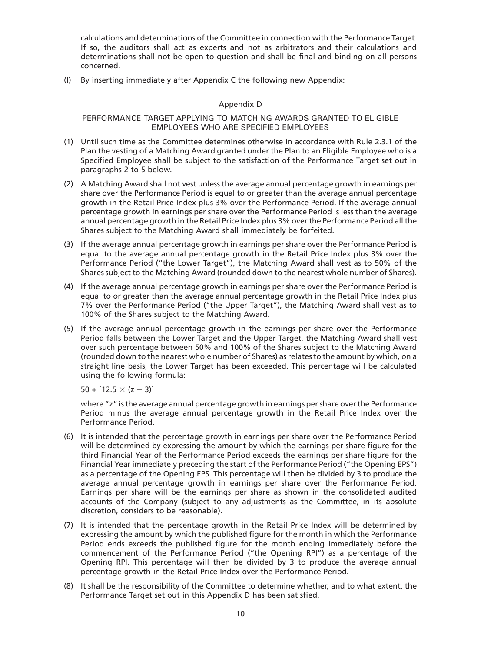calculations and determinations of the Committee in connection with the Performance Target. If so, the auditors shall act as experts and not as arbitrators and their calculations and determinations shall not be open to question and shall be final and binding on all persons concerned.

(l) By inserting immediately after Appendix C the following new Appendix:

## Appendix D

## PERFORMANCE TARGET APPLYING TO MATCHING AWARDS GRANTED TO ELIGIBLE EMPLOYEES WHO ARE SPECIFIED EMPLOYEES

- (1) Until such time as the Committee determines otherwise in accordance with Rule 2.3.1 of the Plan the vesting of a Matching Award granted under the Plan to an Eligible Employee who is a Specified Employee shall be subject to the satisfaction of the Performance Target set out in paragraphs 2 to 5 below.
- (2) A Matching Award shall not vest unless the average annual percentage growth in earnings per share over the Performance Period is equal to or greater than the average annual percentage growth in the Retail Price Index plus 3% over the Performance Period. If the average annual percentage growth in earnings per share over the Performance Period is less than the average annual percentage growth in the Retail Price Index plus 3% over the Performance Period all the Shares subject to the Matching Award shall immediately be forfeited.
- (3) If the average annual percentage growth in earnings per share over the Performance Period is equal to the average annual percentage growth in the Retail Price Index plus 3% over the Performance Period ("the Lower Target"), the Matching Award shall vest as to 50% of the Shares subject to the Matching Award (rounded down to the nearest whole number of Shares).
- (4) If the average annual percentage growth in earnings per share over the Performance Period is equal to or greater than the average annual percentage growth in the Retail Price Index plus 7% over the Performance Period ("the Upper Target"), the Matching Award shall vest as to 100% of the Shares subject to the Matching Award.
- (5) If the average annual percentage growth in the earnings per share over the Performance Period falls between the Lower Target and the Upper Target, the Matching Award shall vest over such percentage between 50% and 100% of the Shares subject to the Matching Award (rounded down to the nearest whole number of Shares) as relates to the amount by which, on a straight line basis, the Lower Target has been exceeded. This percentage will be calculated using the following formula:

50 + [12.5  $\times$  (z  $-$  3)]

where "z" is the average annual percentage growth in earnings per share over the Performance Period minus the average annual percentage growth in the Retail Price Index over the Performance Period.

- (6) It is intended that the percentage growth in earnings per share over the Performance Period will be determined by expressing the amount by which the earnings per share figure for the third Financial Year of the Performance Period exceeds the earnings per share figure for the Financial Year immediately preceding the start of the Performance Period ("the Opening EPS") as a percentage of the Opening EPS. This percentage will then be divided by 3 to produce the average annual percentage growth in earnings per share over the Performance Period. Earnings per share will be the earnings per share as shown in the consolidated audited accounts of the Company (subject to any adjustments as the Committee, in its absolute discretion, considers to be reasonable).
- (7) It is intended that the percentage growth in the Retail Price Index will be determined by expressing the amount by which the published figure for the month in which the Performance Period ends exceeds the published figure for the month ending immediately before the commencement of the Performance Period ("the Opening RPI") as a percentage of the Opening RPI. This percentage will then be divided by 3 to produce the average annual percentage growth in the Retail Price Index over the Performance Period.
- (8) It shall be the responsibility of the Committee to determine whether, and to what extent, the Performance Target set out in this Appendix D has been satisfied.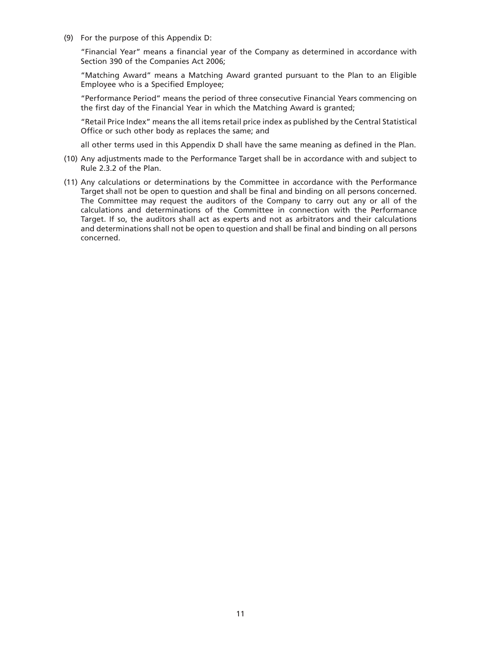(9) For the purpose of this Appendix D:

"Financial Year" means a financial year of the Company as determined in accordance with Section 390 of the Companies Act 2006;

"Matching Award" means a Matching Award granted pursuant to the Plan to an Eligible Employee who is a Specified Employee;

"Performance Period" means the period of three consecutive Financial Years commencing on the first day of the Financial Year in which the Matching Award is granted;

"Retail Price Index" means the all items retail price index as published by the Central Statistical Office or such other body as replaces the same; and

all other terms used in this Appendix D shall have the same meaning as defined in the Plan.

- (10) Any adjustments made to the Performance Target shall be in accordance with and subject to Rule 2.3.2 of the Plan.
- (11) Any calculations or determinations by the Committee in accordance with the Performance Target shall not be open to question and shall be final and binding on all persons concerned. The Committee may request the auditors of the Company to carry out any or all of the calculations and determinations of the Committee in connection with the Performance Target. If so, the auditors shall act as experts and not as arbitrators and their calculations and determinations shall not be open to question and shall be final and binding on all persons concerned.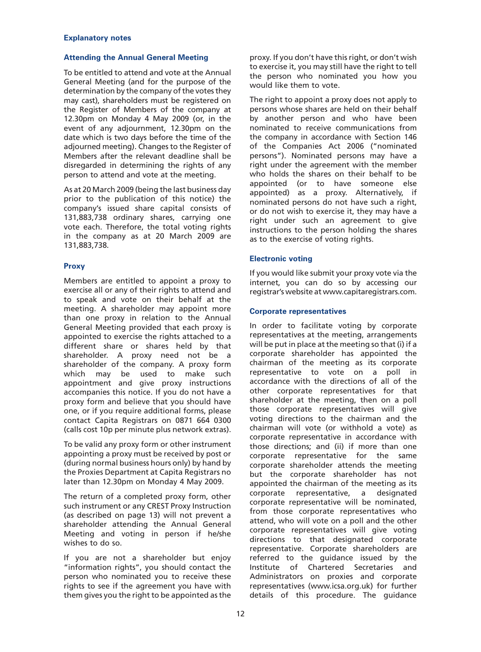#### **Explanatory notes**

## **Attending the Annual General Meeting**

To be entitled to attend and vote at the Annual General Meeting (and for the purpose of the determination by the company of the votes they may cast), shareholders must be registered on the Register of Members of the company at 12.30pm on Monday 4 May 2009 (or, in the event of any adjournment, 12.30pm on the date which is two days before the time of the adjourned meeting). Changes to the Register of Members after the relevant deadline shall be disregarded in determining the rights of any person to attend and vote at the meeting.

As at 20 March 2009 (being the last business day prior to the publication of this notice) the company's issued share capital consists of 131,883,738 ordinary shares, carrying one vote each. Therefore, the total voting rights in the company as at 20 March 2009 are 131,883,738.

## **Proxy**

Members are entitled to appoint a proxy to exercise all or any of their rights to attend and to speak and vote on their behalf at the meeting. A shareholder may appoint more than one proxy in relation to the Annual General Meeting provided that each proxy is appointed to exercise the rights attached to a different share or shares held by that shareholder. A proxy need not be a shareholder of the company. A proxy form which may be used to make such appointment and give proxy instructions accompanies this notice. If you do not have a proxy form and believe that you should have one, or if you require additional forms, please contact Capita Registrars on 0871 664 0300 (calls cost 10p per minute plus network extras).

To be valid any proxy form or other instrument appointing a proxy must be received by post or (during normal business hours only) by hand by the Proxies Department at Capita Registrars no later than 12.30pm on Monday 4 May 2009.

The return of a completed proxy form, other such instrument or any CREST Proxy Instruction (as described on page 13) will not prevent a shareholder attending the Annual General Meeting and voting in person if he/she wishes to do so.

If you are not a shareholder but enjoy "information rights", you should contact the person who nominated you to receive these rights to see if the agreement you have with them gives you the right to be appointed as the

proxy. If you don't have this right, or don't wish to exercise it, you may still have the right to tell the person who nominated you how you would like them to vote.

The right to appoint a proxy does not apply to persons whose shares are held on their behalf by another person and who have been nominated to receive communications from the company in accordance with Section 146 of the Companies Act 2006 ("nominated persons"). Nominated persons may have a right under the agreement with the member who holds the shares on their behalf to be appointed (or to have someone else appointed) as a proxy. Alternatively, if nominated persons do not have such a right, or do not wish to exercise it, they may have a right under such an agreement to give instructions to the person holding the shares as to the exercise of voting rights.

## **Electronic voting**

If you would like submit your proxy vote via the internet, you can do so by accessing our registrar's website at www.capitaregistrars.com.

## **Corporate representatives**

In order to facilitate voting by corporate representatives at the meeting, arrangements will be put in place at the meeting so that (i) if a corporate shareholder has appointed the chairman of the meeting as its corporate representative to vote on a poll in accordance with the directions of all of the other corporate representatives for that shareholder at the meeting, then on a poll those corporate representatives will give voting directions to the chairman and the chairman will vote (or withhold a vote) as corporate representative in accordance with those directions; and (ii) if more than one corporate representative for the same corporate shareholder attends the meeting but the corporate shareholder has not appointed the chairman of the meeting as its corporate representative, a designated corporate representative will be nominated, from those corporate representatives who attend, who will vote on a poll and the other corporate representatives will give voting directions to that designated corporate representative. Corporate shareholders are referred to the guidance issued by the Institute of Chartered Secretaries and Administrators on proxies and corporate representatives (www.icsa.org.uk) for further details of this procedure. The guidance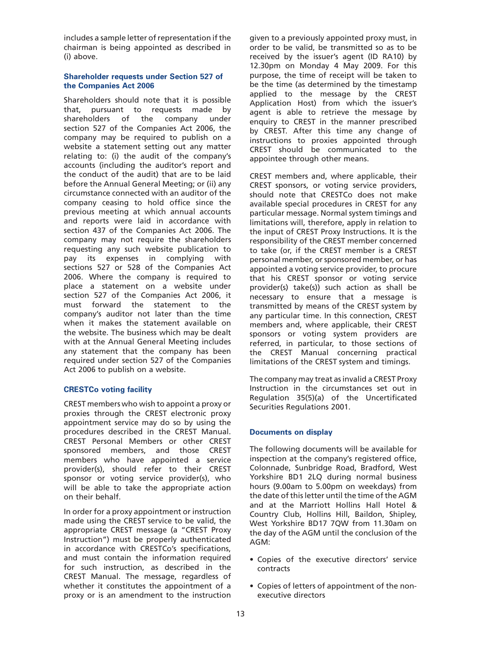includes a sample letter of representation if the chairman is being appointed as described in (i) above.

## **Shareholder requests under Section 527 of the Companies Act 2006**

Shareholders should note that it is possible that, pursuant to requests made by shareholders of the company under section 527 of the Companies Act 2006, the company may be required to publish on a website a statement setting out any matter relating to: (i) the audit of the company's accounts (including the auditor's report and the conduct of the audit) that are to be laid before the Annual General Meeting; or (ii) any circumstance connected with an auditor of the company ceasing to hold office since the previous meeting at which annual accounts and reports were laid in accordance with section 437 of the Companies Act 2006. The company may not require the shareholders requesting any such website publication to pay its expenses in complying with sections 527 or 528 of the Companies Act 2006. Where the company is required to place a statement on a website under section 527 of the Companies Act 2006, it must forward the statement to the company's auditor not later than the time when it makes the statement available on the website. The business which may be dealt with at the Annual General Meeting includes any statement that the company has been required under section 527 of the Companies Act 2006 to publish on a website.

## **CRESTCo voting facility**

CREST members who wish to appoint a proxy or proxies through the CREST electronic proxy appointment service may do so by using the procedures described in the CREST Manual. CREST Personal Members or other CREST sponsored members, and those CREST members who have appointed a service provider(s), should refer to their CREST sponsor or voting service provider(s), who will be able to take the appropriate action on their behalf.

In order for a proxy appointment or instruction made using the CREST service to be valid, the appropriate CREST message (a "CREST Proxy Instruction") must be properly authenticated in accordance with CRESTCo's specifications, and must contain the information required for such instruction, as described in the CREST Manual. The message, regardless of whether it constitutes the appointment of a proxy or is an amendment to the instruction

given to a previously appointed proxy must, in order to be valid, be transmitted so as to be received by the issuer's agent (ID RA10) by 12.30pm on Monday 4 May 2009. For this purpose, the time of receipt will be taken to be the time (as determined by the timestamp applied to the message by the CREST Application Host) from which the issuer's agent is able to retrieve the message by enquiry to CREST in the manner prescribed by CREST. After this time any change of instructions to proxies appointed through CREST should be communicated to the appointee through other means.

CREST members and, where applicable, their CREST sponsors, or voting service providers, should note that CRESTCo does not make available special procedures in CREST for any particular message. Normal system timings and limitations will, therefore, apply in relation to the input of CREST Proxy Instructions. It is the responsibility of the CREST member concerned to take (or, if the CREST member is a CREST personal member, or sponsored member, or has appointed a voting service provider, to procure that his CREST sponsor or voting service provider(s) take(s)) such action as shall be necessary to ensure that a message is transmitted by means of the CREST system by any particular time. In this connection, CREST members and, where applicable, their CREST sponsors or voting system providers are referred, in particular, to those sections of the CREST Manual concerning practical limitations of the CREST system and timings.

The company may treat as invalid a CREST Proxy Instruction in the circumstances set out in Regulation 35(5)(a) of the Uncertificated Securities Regulations 2001.

## **Documents on display**

The following documents will be available for inspection at the company's registered office, Colonnade, Sunbridge Road, Bradford, West Yorkshire BD1 2LQ during normal business hours (9.00am to 5.00pm on weekdays) from the date of this letter until the time of the AGM and at the Marriott Hollins Hall Hotel & Country Club, Hollins Hill, Baildon, Shipley, West Yorkshire BD17 7QW from 11.30am on the day of the AGM until the conclusion of the AGM:

- Copies of the executive directors' service contracts
- Copies of letters of appointment of the nonexecutive directors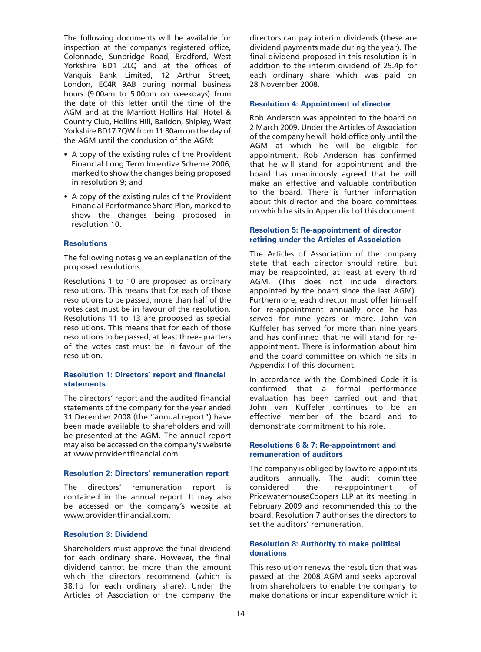The following documents will be available for inspection at the company's registered office, Colonnade, Sunbridge Road, Bradford, West Yorkshire BD1 2LQ and at the offices of Vanquis Bank Limited, 12 Arthur Street, London, EC4R 9AB during normal business hours (9.00am to 5.00pm on weekdays) from the date of this letter until the time of the AGM and at the Marriott Hollins Hall Hotel & Country Club, Hollins Hill, Baildon, Shipley, West Yorkshire BD17 7QW from 11.30am on the day of the AGM until the conclusion of the AGM:

- A copy of the existing rules of the Provident Financial Long Term Incentive Scheme 2006, marked to show the changes being proposed in resolution 9; and
- A copy of the existing rules of the Provident Financial Performance Share Plan, marked to show the changes being proposed in resolution 10.

#### **Resolutions**

The following notes give an explanation of the proposed resolutions.

Resolutions 1 to 10 are proposed as ordinary resolutions. This means that for each of those resolutions to be passed, more than half of the votes cast must be in favour of the resolution. Resolutions 11 to 13 are proposed as special resolutions. This means that for each of those resolutions to be passed, at least three-quarters of the votes cast must be in favour of the resolution.

#### **Resolution 1: Directors' report and financial statements**

The directors' report and the audited financial statements of the company for the year ended 31 December 2008 (the "annual report") have been made available to shareholders and will be presented at the AGM. The annual report may also be accessed on the company's website at www.providentfinancial.com.

#### **Resolution 2: Directors' remuneration report**

The directors' remuneration report is contained in the annual report. It may also be accessed on the company's website at www.providentfinancial.com.

#### **Resolution 3: Dividend**

Shareholders must approve the final dividend for each ordinary share. However, the final dividend cannot be more than the amount which the directors recommend (which is 38.1p for each ordinary share). Under the Articles of Association of the company the

directors can pay interim dividends (these are dividend payments made during the year). The final dividend proposed in this resolution is in addition to the interim dividend of 25.4p for each ordinary share which was paid on 28 November 2008.

## **Resolution 4: Appointment of director**

Rob Anderson was appointed to the board on 2 March 2009. Under the Articles of Association of the company he will hold office only until the AGM at which he will be eligible for appointment. Rob Anderson has confirmed that he will stand for appointment and the board has unanimously agreed that he will make an effective and valuable contribution to the board. There is further information about this director and the board committees on which he sits in Appendix I of this document.

#### **Resolution 5: Re-appointment of director retiring under the Articles of Association**

The Articles of Association of the company state that each director should retire, but may be reappointed, at least at every third AGM. (This does not include directors appointed by the board since the last AGM). Furthermore, each director must offer himself for re-appointment annually once he has served for nine years or more. John van Kuffeler has served for more than nine years and has confirmed that he will stand for reappointment. There is information about him and the board committee on which he sits in Appendix I of this document.

In accordance with the Combined Code it is confirmed that a formal performance evaluation has been carried out and that John van Kuffeler continues to be an effective member of the board and to demonstrate commitment to his role.

#### **Resolutions 6 & 7: Re-appointment and remuneration of auditors**

The company is obliged by law to re-appoint its auditors annually. The audit committee considered the re-appointment of PricewaterhouseCoopers LLP at its meeting in February 2009 and recommended this to the board. Resolution 7 authorises the directors to set the auditors' remuneration.

#### **Resolution 8: Authority to make political donations**

This resolution renews the resolution that was passed at the 2008 AGM and seeks approval from shareholders to enable the company to make donations or incur expenditure which it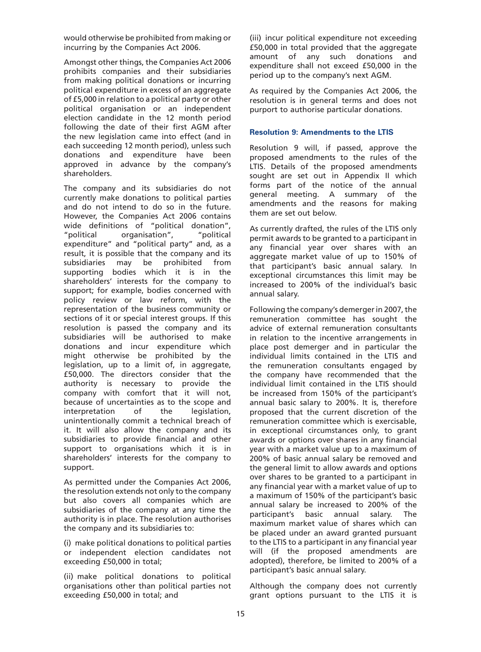would otherwise be prohibited from making or incurring by the Companies Act 2006.

Amongst other things, the Companies Act 2006 prohibits companies and their subsidiaries from making political donations or incurring political expenditure in excess of an aggregate of £5,000 in relation to a political party or other political organisation or an independent election candidate in the 12 month period following the date of their first AGM after the new legislation came into effect (and in each succeeding 12 month period), unless such donations and expenditure have been approved in advance by the company's shareholders.

The company and its subsidiaries do not currently make donations to political parties and do not intend to do so in the future. However, the Companies Act 2006 contains wide definitions of "political donation", "political organisation", "political expenditure" and "political party" and, as a result, it is possible that the company and its subsidiaries may be prohibited from supporting bodies which it is in the shareholders' interests for the company to support; for example, bodies concerned with policy review or law reform, with the representation of the business community or sections of it or special interest groups. If this resolution is passed the company and its subsidiaries will be authorised to make donations and incur expenditure which might otherwise be prohibited by the legislation, up to a limit of, in aggregate, £50,000. The directors consider that the authority is necessary to provide the company with comfort that it will not, because of uncertainties as to the scope and<br>interpretation of the legislation. interpretation of the unintentionally commit a technical breach of it. It will also allow the company and its subsidiaries to provide financial and other support to organisations which it is in shareholders' interests for the company to support.

As permitted under the Companies Act 2006, the resolution extends not only to the company but also covers all companies which are subsidiaries of the company at any time the authority is in place. The resolution authorises the company and its subsidiaries to:

(i) make political donations to political parties or independent election candidates not exceeding £50,000 in total;

(ii) make political donations to political organisations other than political parties not exceeding £50,000 in total; and

(iii) incur political expenditure not exceeding £50,000 in total provided that the aggregate amount of any such donations and expenditure shall not exceed £50,000 in the period up to the company's next AGM.

As required by the Companies Act 2006, the resolution is in general terms and does not purport to authorise particular donations.

# **Resolution 9: Amendments to the LTIS**

Resolution 9 will, if passed, approve the proposed amendments to the rules of the LTIS. Details of the proposed amendments sought are set out in Appendix II which forms part of the notice of the annual general meeting. A summary of the amendments and the reasons for making them are set out below.

As currently drafted, the rules of the LTIS only permit awards to be granted to a participant in any financial year over shares with an aggregate market value of up to 150% of that participant's basic annual salary. In exceptional circumstances this limit may be increased to 200% of the individual's basic annual salary.

Following the company's demerger in 2007, the remuneration committee has sought the advice of external remuneration consultants in relation to the incentive arrangements in place post demerger and in particular the individual limits contained in the LTIS and the remuneration consultants engaged by the company have recommended that the individual limit contained in the LTIS should be increased from 150% of the participant's annual basic salary to 200%. It is, therefore proposed that the current discretion of the remuneration committee which is exercisable, in exceptional circumstances only, to grant awards or options over shares in any financial year with a market value up to a maximum of 200% of basic annual salary be removed and the general limit to allow awards and options over shares to be granted to a participant in any financial year with a market value of up to a maximum of 150% of the participant's basic annual salary be increased to 200% of the participant's basic annual salary. The maximum market value of shares which can be placed under an award granted pursuant to the LTIS to a participant in any financial year will (if the proposed amendments are adopted), therefore, be limited to 200% of a participant's basic annual salary.

Although the company does not currently grant options pursuant to the LTIS it is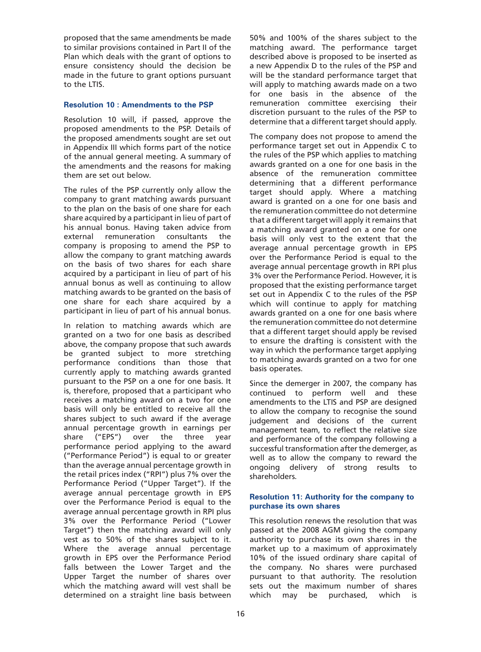proposed that the same amendments be made to similar provisions contained in Part II of the Plan which deals with the grant of options to ensure consistency should the decision be made in the future to grant options pursuant to the LTIS.

## **Resolution 10 : Amendments to the PSP**

Resolution 10 will, if passed, approve the proposed amendments to the PSP. Details of the proposed amendments sought are set out in Appendix III which forms part of the notice of the annual general meeting. A summary of the amendments and the reasons for making them are set out below.

The rules of the PSP currently only allow the company to grant matching awards pursuant to the plan on the basis of one share for each share acquired by a participant in lieu of part of his annual bonus. Having taken advice from external remuneration consultants the company is proposing to amend the PSP to allow the company to grant matching awards on the basis of two shares for each share acquired by a participant in lieu of part of his annual bonus as well as continuing to allow matching awards to be granted on the basis of one share for each share acquired by a participant in lieu of part of his annual bonus.

In relation to matching awards which are granted on a two for one basis as described above, the company propose that such awards be granted subject to more stretching performance conditions than those that currently apply to matching awards granted pursuant to the PSP on a one for one basis. It is, therefore, proposed that a participant who receives a matching award on a two for one basis will only be entitled to receive all the shares subject to such award if the average annual percentage growth in earnings per share ("EPS") over the three year performance period applying to the award ("Performance Period") is equal to or greater than the average annual percentage growth in the retail prices index ("RPI") plus 7% over the Performance Period ("Upper Target"). If the average annual percentage growth in EPS over the Performance Period is equal to the average annual percentage growth in RPI plus 3% over the Performance Period ("Lower Target") then the matching award will only vest as to 50% of the shares subject to it. Where the average annual percentage growth in EPS over the Performance Period falls between the Lower Target and the Upper Target the number of shares over which the matching award will vest shall be determined on a straight line basis between

50% and 100% of the shares subject to the matching award. The performance target described above is proposed to be inserted as a new Appendix D to the rules of the PSP and will be the standard performance target that will apply to matching awards made on a two for one basis in the absence of the remuneration committee exercising their discretion pursuant to the rules of the PSP to determine that a different target should apply.

The company does not propose to amend the performance target set out in Appendix C to the rules of the PSP which applies to matching awards granted on a one for one basis in the absence of the remuneration committee determining that a different performance target should apply. Where a matching award is granted on a one for one basis and the remuneration committee do not determine that a different target will apply it remains that a matching award granted on a one for one basis will only vest to the extent that the average annual percentage growth in EPS over the Performance Period is equal to the average annual percentage growth in RPI plus 3% over the Performance Period. However, it is proposed that the existing performance target set out in Appendix C to the rules of the PSP which will continue to apply for matching awards granted on a one for one basis where the remuneration committee do not determine that a different target should apply be revised to ensure the drafting is consistent with the way in which the performance target applying to matching awards granted on a two for one basis operates.

Since the demerger in 2007, the company has continued to perform well and these amendments to the LTIS and PSP are designed to allow the company to recognise the sound judgement and decisions of the current management team, to reflect the relative size and performance of the company following a successful transformation after the demerger, as well as to allow the company to reward the ongoing delivery of strong results to shareholders.

## **Resolution 11: Authority for the company to purchase its own shares**

This resolution renews the resolution that was passed at the 2008 AGM giving the company authority to purchase its own shares in the market up to a maximum of approximately 10% of the issued ordinary share capital of the company. No shares were purchased pursuant to that authority. The resolution sets out the maximum number of shares which may be purchased, which is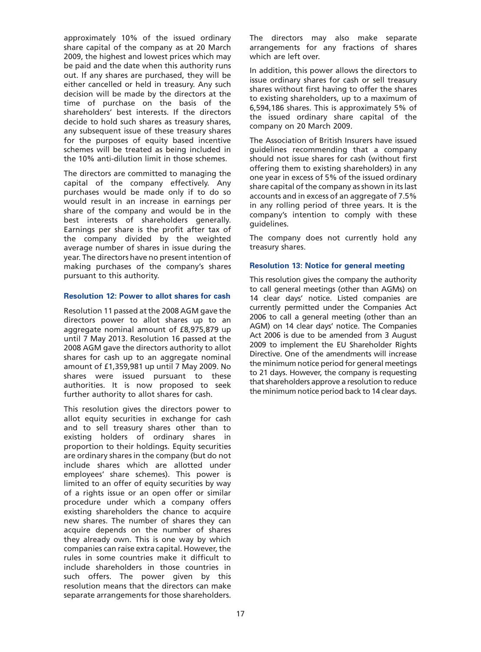approximately 10% of the issued ordinary share capital of the company as at 20 March 2009, the highest and lowest prices which may be paid and the date when this authority runs out. If any shares are purchased, they will be either cancelled or held in treasury. Any such decision will be made by the directors at the time of purchase on the basis of the shareholders' best interests. If the directors decide to hold such shares as treasury shares, any subsequent issue of these treasury shares for the purposes of equity based incentive schemes will be treated as being included in the 10% anti-dilution limit in those schemes.

The directors are committed to managing the capital of the company effectively. Any purchases would be made only if to do so would result in an increase in earnings per share of the company and would be in the best interests of shareholders generally. Earnings per share is the profit after tax of the company divided by the weighted average number of shares in issue during the year. The directors have no present intention of making purchases of the company's shares pursuant to this authority.

## **Resolution 12: Power to allot shares for cash**

Resolution 11 passed at the 2008 AGM gave the directors power to allot shares up to an aggregate nominal amount of £8,975,879 up until 7 May 2013. Resolution 16 passed at the 2008 AGM gave the directors authority to allot shares for cash up to an aggregate nominal amount of £1,359,981 up until 7 May 2009. No shares were issued pursuant to these authorities. It is now proposed to seek further authority to allot shares for cash.

This resolution gives the directors power to allot equity securities in exchange for cash and to sell treasury shares other than to existing holders of ordinary shares in proportion to their holdings. Equity securities are ordinary shares in the company (but do not include shares which are allotted under employees' share schemes). This power is limited to an offer of equity securities by way of a rights issue or an open offer or similar procedure under which a company offers existing shareholders the chance to acquire new shares. The number of shares they can acquire depends on the number of shares they already own. This is one way by which companies can raise extra capital. However, the rules in some countries make it difficult to include shareholders in those countries in such offers. The power given by this resolution means that the directors can make separate arrangements for those shareholders.

The directors may also make separate arrangements for any fractions of shares which are left over.

In addition, this power allows the directors to issue ordinary shares for cash or sell treasury shares without first having to offer the shares to existing shareholders, up to a maximum of 6,594,186 shares. This is approximately 5% of the issued ordinary share capital of the company on 20 March 2009.

The Association of British Insurers have issued guidelines recommending that a company should not issue shares for cash (without first offering them to existing shareholders) in any one year in excess of 5% of the issued ordinary share capital of the company as shown in its last accounts and in excess of an aggregate of 7.5% in any rolling period of three years. It is the company's intention to comply with these guidelines.

The company does not currently hold any treasury shares.

## **Resolution 13: Notice for general meeting**

This resolution gives the company the authority to call general meetings (other than AGMs) on 14 clear days' notice. Listed companies are currently permitted under the Companies Act 2006 to call a general meeting (other than an AGM) on 14 clear days' notice. The Companies Act 2006 is due to be amended from 3 August 2009 to implement the EU Shareholder Rights Directive. One of the amendments will increase the minimum notice period for general meetings to 21 days. However, the company is requesting that shareholders approve a resolution to reduce the minimum notice period back to 14 clear days.